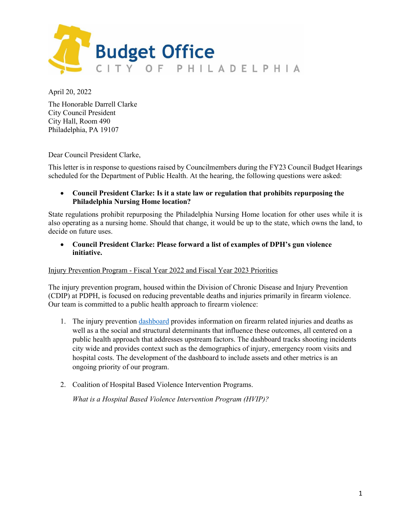

April 20, 2022

The Honorable Darrell Clarke City Council President City Hall, Room 490 Philadelphia, PA 19107

Dear Council President Clarke,

This letter is in response to questions raised by Councilmembers during the FY23 Council Budget Hearings scheduled for the Department of Public Health. At the hearing, the following questions were asked:

## • **Council President Clarke: Is it a state law or regulation that prohibits repurposing the Philadelphia Nursing Home location?**

State regulations prohibit repurposing the Philadelphia Nursing Home location for other uses while it is also operating as a nursing home. Should that change, it would be up to the state, which owns the land, to decide on future uses.

• **Council President Clarke: Please forward a list of examples of DPH's gun violence initiative.**

#### Injury Prevention Program - Fiscal Year 2022 and Fiscal Year 2023 Priorities

The injury prevention program, housed within the Division of Chronic Disease and Injury Prevention (CDIP) at PDPH, is focused on reducing preventable deaths and injuries primarily in firearm violence. Our team is committed to a public health approach to firearm violence:

- 1. The injury preventio[n dashboard](https://www.phila.gov/programs/injury-prevention-program/injury-prevention-dashboard/) provides information on firearm related injuries and deaths as well as a the social and structural determinants that influence these outcomes, all centered on a public health approach that addresses upstream factors. The dashboard tracks shooting incidents city wide and provides context such as the demographics of injury, emergency room visits and hospital costs. The development of the dashboard to include assets and other metrics is an ongoing priority of our program.
- 2. Coalition of Hospital Based Violence Intervention Programs.

*What is a Hospital Based Violence Intervention Program (HVIP)?*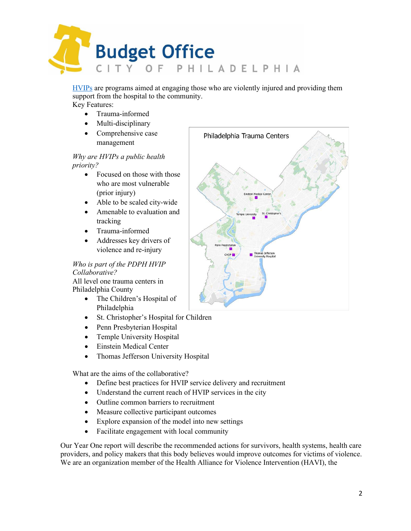

[HVIPs](https://www.thehavi.org/what-is-an-hvip) are programs aimed at engaging those who are violently injured and providing them support from the hospital to the community. Key Features:

• Trauma-informed

- Multi-disciplinary
- Comprehensive case management

# *Why are HVIPs a public health priority?*

- Focused on those with those who are most vulnerable (prior injury)
- Able to be scaled city-wide
- Amenable to evaluation and tracking
- Trauma-informed
- Addresses key drivers of violence and re-injury

# *Who is part of the PDPH HVIP Collaborative?*

All level one trauma centers in Philadelphia County

- The Children's Hospital of Philadelphia
- St. Christopher's Hospital for Children
- Penn Presbyterian Hospital
- Temple University Hospital
- Einstein Medical Center
- Thomas Jefferson University Hospital

What are the aims of the collaborative?

- Define best practices for HVIP service delivery and recruitment
- Understand the current reach of HVIP services in the city
- Outline common barriers to recruitment
- Measure collective participant outcomes
- Explore expansion of the model into new settings
- Facilitate engagement with local community

Our Year One report will describe the recommended actions for survivors, health systems, health care providers, and policy makers that this body believes would improve outcomes for victims of violence. We are an organization member of the Health Alliance for Violence Intervention (HAVI), the

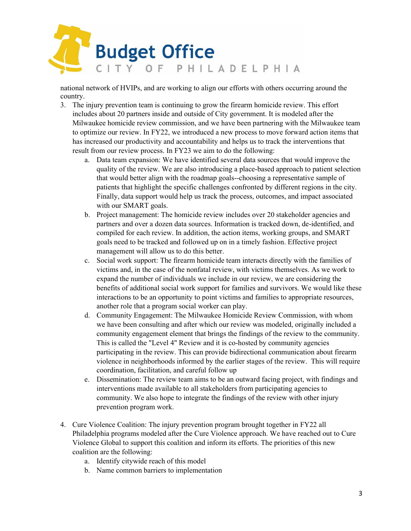

national network of HVIPs, and are working to align our efforts with others occurring around the country.

- 3. The injury prevention team is continuing to grow the firearm homicide review. This effort includes about 20 partners inside and outside of City government. It is modeled after the Milwaukee homicide review commission, and we have been partnering with the Milwaukee team to optimize our review. In FY22, we introduced a new process to move forward action items that has increased our productivity and accountability and helps us to track the interventions that result from our review process. In FY23 we aim to do the following:
	- a. Data team expansion: We have identified several data sources that would improve the quality of the review. We are also introducing a place-based approach to patient selection that would better align with the roadmap goals--choosing a representative sample of patients that highlight the specific challenges confronted by different regions in the city. Finally, data support would help us track the process, outcomes, and impact associated with our SMART goals.
	- b. Project management: The homicide review includes over 20 stakeholder agencies and partners and over a dozen data sources. Information is tracked down, de-identified, and compiled for each review. In addition, the action items, working groups, and SMART goals need to be tracked and followed up on in a timely fashion. Effective project management will allow us to do this better.
	- c. Social work support: The firearm homicide team interacts directly with the families of victims and, in the case of the nonfatal review, with victims themselves. As we work to expand the number of individuals we include in our review, we are considering the benefits of additional social work support for families and survivors. We would like these interactions to be an opportunity to point victims and families to appropriate resources, another role that a program social worker can play.
	- d. Community Engagement: The Milwaukee Homicide Review Commission, with whom we have been consulting and after which our review was modeled, originally included a community engagement element that brings the findings of the review to the community. This is called the "Level 4" Review and it is co-hosted by community agencies participating in the review. This can provide bidirectional communication about firearm violence in neighborhoods informed by the earlier stages of the review. This will require coordination, facilitation, and careful follow up
	- e. Dissemination: The review team aims to be an outward facing project, with findings and interventions made available to all stakeholders from participating agencies to community. We also hope to integrate the findings of the review with other injury prevention program work.
- 4. Cure Violence Coalition: The injury prevention program brought together in FY22 all Philadelphia programs modeled after the Cure Violence approach. We have reached out to Cure Violence Global to support this coalition and inform its efforts. The priorities of this new coalition are the following:
	- a. Identify citywide reach of this model
	- b. Name common barriers to implementation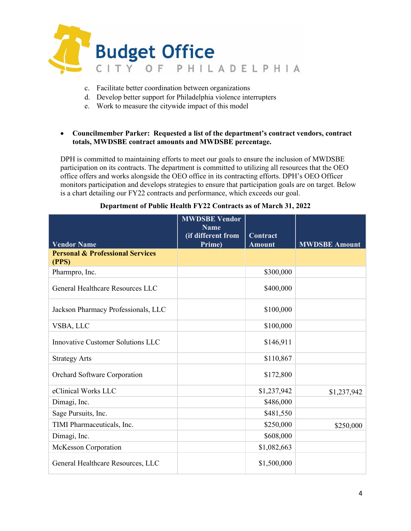

- c. Facilitate better coordination between organizations
- d. Develop better support for Philadelphia violence interrupters
- e. Work to measure the citywide impact of this model

## • **Councilmember Parker: Requested a list of the department's contract vendors, contract totals, MWDSBE contract amounts and MWDSBE percentage.**

DPH is committed to maintaining efforts to meet our goals to ensure the inclusion of MWDSBE participation on its contracts. The department is committed to utilizing all resources that the OEO office offers and works alongside the OEO office in its contracting efforts. DPH's OEO Officer monitors participation and develops strategies to ensure that participation goals are on target. Below is a chart detailing our FY22 contracts and performance, which exceeds our goal.

|                                                      | <b>MWDSBE Vendor</b><br><b>Name</b> |                           |                      |
|------------------------------------------------------|-------------------------------------|---------------------------|----------------------|
| <b>Vendor Name</b>                                   | (if different from<br>Prime)        | Contract<br><b>Amount</b> | <b>MWDSBE Amount</b> |
| <b>Personal &amp; Professional Services</b><br>(PPS) |                                     |                           |                      |
| Pharmpro, Inc.                                       |                                     | \$300,000                 |                      |
| General Healthcare Resources LLC                     |                                     | \$400,000                 |                      |
| Jackson Pharmacy Professionals, LLC                  |                                     | \$100,000                 |                      |
| VSBA, LLC                                            |                                     | \$100,000                 |                      |
| Innovative Customer Solutions LLC                    |                                     | \$146,911                 |                      |
| <b>Strategy Arts</b>                                 |                                     | \$110,867                 |                      |
| Orchard Software Corporation                         |                                     | \$172,800                 |                      |
| eClinical Works LLC                                  |                                     | \$1,237,942               | \$1,237,942          |
| Dimagi, Inc.                                         |                                     | \$486,000                 |                      |
| Sage Pursuits, Inc.                                  |                                     | \$481,550                 |                      |
| TIMI Pharmaceuticals, Inc.                           |                                     | \$250,000                 | \$250,000            |
| Dimagi, Inc.                                         |                                     | \$608,000                 |                      |
| McKesson Corporation                                 |                                     | \$1,082,663               |                      |
| General Healthcare Resources, LLC                    |                                     | \$1,500,000               |                      |

#### **Department of Public Health FY22 Contracts as of March 31, 2022**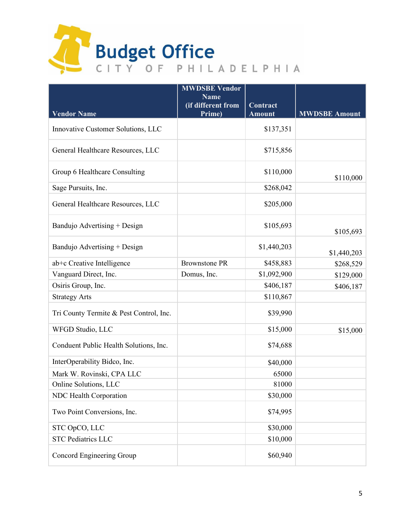

|                                         | <b>MWDSBE Vendor</b><br><b>Name</b> |                           |                      |
|-----------------------------------------|-------------------------------------|---------------------------|----------------------|
| <b>Vendor Name</b>                      | (if different from<br>Prime)        | Contract<br><b>Amount</b> | <b>MWDSBE Amount</b> |
|                                         |                                     |                           |                      |
| Innovative Customer Solutions, LLC      |                                     | \$137,351                 |                      |
| General Healthcare Resources, LLC       |                                     | \$715,856                 |                      |
| Group 6 Healthcare Consulting           |                                     | \$110,000                 | \$110,000            |
| Sage Pursuits, Inc.                     |                                     | \$268,042                 |                      |
| General Healthcare Resources, LLC       |                                     | \$205,000                 |                      |
| Bandujo Advertising + Design            |                                     | \$105,693                 | \$105,693            |
| Bandujo Advertising + Design            |                                     | \$1,440,203               | \$1,440,203          |
| ab+c Creative Intelligence              | <b>Brownstone PR</b>                | \$458,883                 | \$268,529            |
| Vanguard Direct, Inc.                   | Domus, Inc.                         | \$1,092,900               | \$129,000            |
| Osiris Group, Inc.                      |                                     | \$406,187                 | \$406,187            |
| <b>Strategy Arts</b>                    |                                     | \$110,867                 |                      |
| Tri County Termite & Pest Control, Inc. |                                     | \$39,990                  |                      |
| WFGD Studio, LLC                        |                                     | \$15,000                  | \$15,000             |
| Conduent Public Health Solutions, Inc.  |                                     | \$74,688                  |                      |
| InterOperability Bidco, Inc.            |                                     | \$40,000                  |                      |
| Mark W. Rovinski, CPA LLC               |                                     | 65000                     |                      |
| Online Solutions, LLC                   |                                     | 81000                     |                      |
| NDC Health Corporation                  |                                     | \$30,000                  |                      |
| Two Point Conversions, Inc.             |                                     | \$74,995                  |                      |
| STC OpCO, LLC                           |                                     | \$30,000                  |                      |
| <b>STC Pediatrics LLC</b>               |                                     | \$10,000                  |                      |
| Concord Engineering Group               |                                     | \$60,940                  |                      |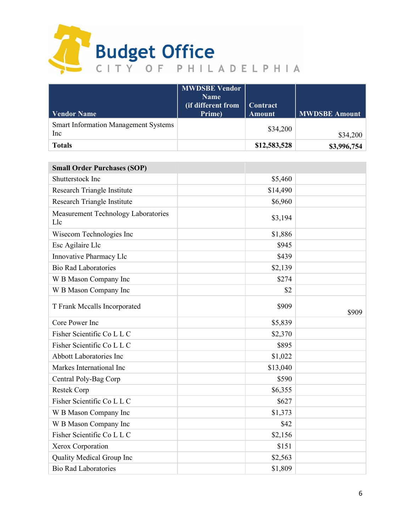

| <b>Vendor Name</b>                                 | <b>MWDSBE Vendor</b><br><b>Name</b><br>(if different from<br>Prime) | <b>Contract</b><br><b>Amount</b> | <b>MWDSBE Amount</b> |
|----------------------------------------------------|---------------------------------------------------------------------|----------------------------------|----------------------|
| <b>Smart Information Management Systems</b><br>Inc |                                                                     | \$34,200                         | \$34,200             |
| <b>Totals</b>                                      |                                                                     | \$12,583,528                     | \$3,996,754          |

| <b>Small Order Purchases (SOP)</b>         |          |       |
|--------------------------------------------|----------|-------|
| Shutterstock Inc                           | \$5,460  |       |
| Research Triangle Institute                | \$14,490 |       |
| Research Triangle Institute                | \$6,960  |       |
| Measurement Technology Laboratories<br>Llc | \$3,194  |       |
| Wisecom Technologies Inc                   | \$1,886  |       |
| Esc Agilaire Llc                           | \$945    |       |
| Innovative Pharmacy Llc                    | \$439    |       |
| <b>Bio Rad Laboratories</b>                | \$2,139  |       |
| W B Mason Company Inc                      | \$274    |       |
| W B Mason Company Inc                      | \$2      |       |
| T Frank Mccalls Incorporated               | \$909    | \$909 |
| Core Power Inc                             | \$5,839  |       |
| Fisher Scientific Co L L C                 | \$2,370  |       |
| Fisher Scientific Co L L C                 | \$895    |       |
| <b>Abbott Laboratories Inc</b>             | \$1,022  |       |
| Markes International Inc                   | \$13,040 |       |
| Central Poly-Bag Corp                      | \$590    |       |
| Restek Corp                                | \$6,355  |       |
| Fisher Scientific Co L L C                 | \$627    |       |
| W B Mason Company Inc                      | \$1,373  |       |
| W B Mason Company Inc                      | \$42     |       |
| Fisher Scientific Co L L C                 | \$2,156  |       |
| Xerox Corporation                          | \$151    |       |
| Quality Medical Group Inc                  | \$2,563  |       |
| <b>Bio Rad Laboratories</b>                | \$1,809  |       |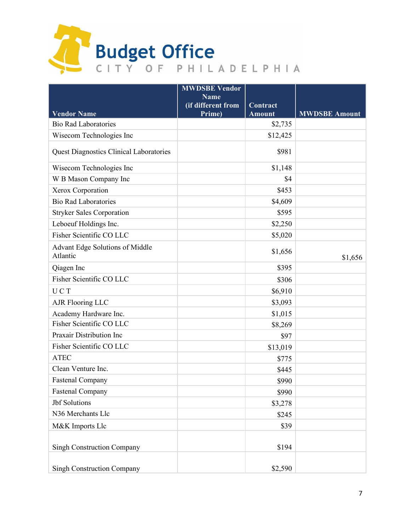

|                                                    | <b>MWDSBE Vendor</b><br><b>Name</b> |               |                      |
|----------------------------------------------------|-------------------------------------|---------------|----------------------|
|                                                    | (if different from                  | Contract      |                      |
| <b>Vendor Name</b>                                 | Prime)                              | <b>Amount</b> | <b>MWDSBE Amount</b> |
| <b>Bio Rad Laboratories</b>                        |                                     | \$2,735       |                      |
| Wisecom Technologies Inc                           |                                     | \$12,425      |                      |
| <b>Quest Diagnostics Clinical Laboratories</b>     |                                     | \$981         |                      |
| Wisecom Technologies Inc                           |                                     | \$1,148       |                      |
| W B Mason Company Inc                              |                                     | \$4           |                      |
| Xerox Corporation                                  |                                     | \$453         |                      |
| <b>Bio Rad Laboratories</b>                        |                                     | \$4,609       |                      |
| <b>Stryker Sales Corporation</b>                   |                                     | \$595         |                      |
| Leboeuf Holdings Inc.                              |                                     | \$2,250       |                      |
| Fisher Scientific CO LLC                           |                                     | \$5,020       |                      |
| <b>Advant Edge Solutions of Middle</b><br>Atlantic |                                     | \$1,656       | \$1,656              |
| Qiagen Inc                                         |                                     | \$395         |                      |
| Fisher Scientific CO LLC                           |                                     | \$306         |                      |
| UCT                                                |                                     | \$6,910       |                      |
| <b>AJR Flooring LLC</b>                            |                                     | \$3,093       |                      |
| Academy Hardware Inc.                              |                                     | \$1,015       |                      |
| Fisher Scientific CO LLC                           |                                     | \$8,269       |                      |
| Praxair Distribution Inc                           |                                     | \$97          |                      |
| Fisher Scientific CO LLC                           |                                     | \$13,019      |                      |
| <b>ATEC</b>                                        |                                     | \$775         |                      |
| Clean Venture Inc.                                 |                                     | \$445         |                      |
| <b>Fastenal Company</b>                            |                                     | \$990         |                      |
| <b>Fastenal Company</b>                            |                                     | \$990         |                      |
| <b>Jbf</b> Solutions                               |                                     | \$3,278       |                      |
| N36 Merchants Llc                                  |                                     | \$245         |                      |
| M&K Imports Llc                                    |                                     | \$39          |                      |
| <b>Singh Construction Company</b>                  |                                     | \$194         |                      |
| <b>Singh Construction Company</b>                  |                                     | \$2,590       |                      |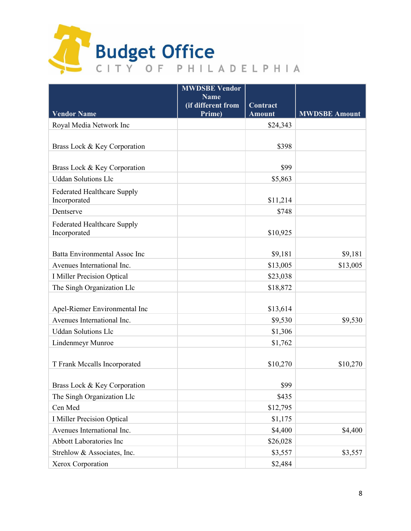

|                                                    | <b>MWDSBE Vendor</b><br><b>Name</b> |               |                      |
|----------------------------------------------------|-------------------------------------|---------------|----------------------|
|                                                    | (if different from                  | Contract      |                      |
| <b>Vendor Name</b>                                 | Prime)                              | <b>Amount</b> | <b>MWDSBE Amount</b> |
| Royal Media Network Inc                            |                                     | \$24,343      |                      |
| Brass Lock & Key Corporation                       |                                     | \$398         |                      |
|                                                    |                                     |               |                      |
| Brass Lock & Key Corporation                       |                                     | \$99          |                      |
| <b>Uddan Solutions Llc</b>                         |                                     | \$5,863       |                      |
| Federated Healthcare Supply<br>Incorporated        |                                     | \$11,214      |                      |
| Dentserve                                          |                                     | \$748         |                      |
| <b>Federated Healthcare Supply</b><br>Incorporated |                                     | \$10,925      |                      |
|                                                    |                                     |               |                      |
| Batta Environmental Assoc Inc                      |                                     | \$9,181       | \$9,181              |
| Avenues International Inc.                         |                                     | \$13,005      | \$13,005             |
| <b>I Miller Precision Optical</b>                  |                                     | \$23,038      |                      |
| The Singh Organization Llc                         |                                     | \$18,872      |                      |
|                                                    |                                     |               |                      |
| Apel-Riemer Environmental Inc                      |                                     | \$13,614      |                      |
| Avenues International Inc.                         |                                     | \$9,530       | \$9,530              |
| <b>Uddan Solutions Llc</b>                         |                                     | \$1,306       |                      |
| <b>Lindenmeyr Munroe</b>                           |                                     | \$1,762       |                      |
| T Frank Mccalls Incorporated                       |                                     | \$10,270      | \$10,270             |
|                                                    |                                     |               |                      |
| Brass Lock & Key Corporation                       |                                     | \$99          |                      |
| The Singh Organization Llc                         |                                     | \$435         |                      |
| Cen Med                                            |                                     | \$12,795      |                      |
| <b>I Miller Precision Optical</b>                  |                                     | \$1,175       |                      |
| Avenues International Inc.                         |                                     | \$4,400       | \$4,400              |
| Abbott Laboratories Inc                            |                                     | \$26,028      |                      |
| Strehlow & Associates, Inc.                        |                                     | \$3,557       | \$3,557              |
| Xerox Corporation                                  |                                     | \$2,484       |                      |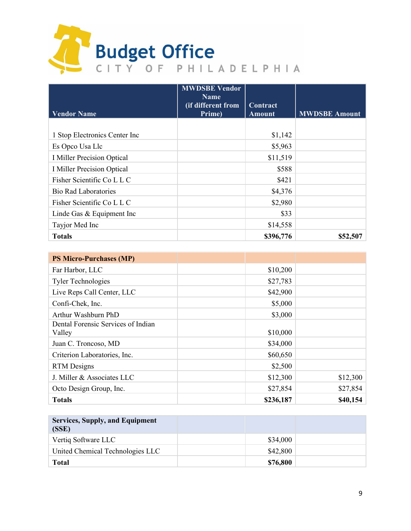

|                                   | <b>MWDSBE Vendor</b><br><b>Name</b><br>(if different from | Contract      |                      |
|-----------------------------------|-----------------------------------------------------------|---------------|----------------------|
| <b>Vendor Name</b>                | Prime)                                                    | <b>Amount</b> | <b>MWDSBE Amount</b> |
|                                   |                                                           |               |                      |
| 1 Stop Electronics Center Inc     |                                                           | \$1,142       |                      |
| Es Opco Usa Llc                   |                                                           | \$5,963       |                      |
| <b>I Miller Precision Optical</b> |                                                           | \$11,519      |                      |
| I Miller Precision Optical        |                                                           | \$588         |                      |
| Fisher Scientific Co L L C        |                                                           | \$421         |                      |
| <b>Bio Rad Laboratories</b>       |                                                           | \$4,376       |                      |
| Fisher Scientific Co L L C        |                                                           | \$2,980       |                      |
| Linde Gas & Equipment Inc         |                                                           | \$33          |                      |
| Tayjor Med Inc                    |                                                           | \$14,558      |                      |
| <b>Totals</b>                     |                                                           | \$396,776     | \$52,507             |

| <b>PS Micro-Purchases (MP)</b>               |           |          |
|----------------------------------------------|-----------|----------|
| Far Harbor, LLC                              | \$10,200  |          |
| <b>Tyler Technologies</b>                    | \$27,783  |          |
| Live Reps Call Center, LLC                   | \$42,900  |          |
| Confi-Chek, Inc.                             | \$5,000   |          |
| Arthur Washburn PhD                          | \$3,000   |          |
| Dental Forensic Services of Indian<br>Valley | \$10,000  |          |
| Juan C. Troncoso, MD                         | \$34,000  |          |
| Criterion Laboratories, Inc.                 | \$60,650  |          |
| <b>RTM</b> Designs                           | \$2,500   |          |
| J. Miller & Associates LLC                   | \$12,300  | \$12,300 |
| Octo Design Group, Inc.                      | \$27,854  | \$27,854 |
| <b>Totals</b>                                | \$236,187 | \$40,154 |

| <b>Services, Supply, and Equipment</b><br>(SSE) |          |  |
|-------------------------------------------------|----------|--|
| Vertiq Software LLC                             | \$34,000 |  |
| United Chemical Technologies LLC                | \$42,800 |  |
| Total                                           | \$76,800 |  |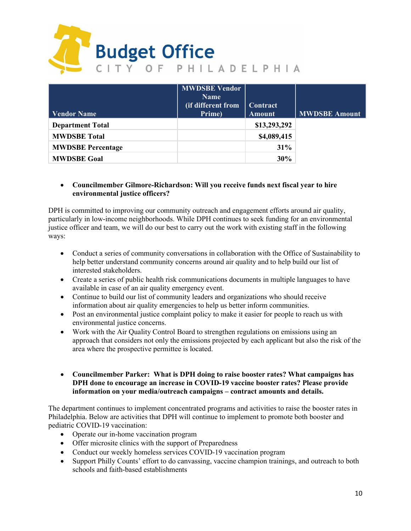

|                          | <b>MWDSBE Vendor</b><br><b>Name</b> |               |                      |
|--------------------------|-------------------------------------|---------------|----------------------|
|                          | (if different from                  | Contract      |                      |
| <b>Vendor Name</b>       | Prime)                              | <b>Amount</b> | <b>MWDSBE Amount</b> |
| <b>Department Total</b>  |                                     | \$13,293,292  |                      |
| <b>MWDSBE</b> Total      |                                     | \$4,089,415   |                      |
| <b>MWDSBE Percentage</b> |                                     | 31%           |                      |
| <b>MWDSBE Goal</b>       |                                     | 30%           |                      |

# • **Councilmember Gilmore-Richardson: Will you receive funds next fiscal year to hire environmental justice officers?**

DPH is committed to improving our community outreach and engagement efforts around air quality, particularly in low-income neighborhoods. While DPH continues to seek funding for an environmental justice officer and team, we will do our best to carry out the work with existing staff in the following ways:

- Conduct a series of community conversations in collaboration with the Office of Sustainability to help better understand community concerns around air quality and to help build our list of interested stakeholders.
- Create a series of public health risk communications documents in multiple languages to have available in case of an air quality emergency event.
- Continue to build our list of community leaders and organizations who should receive information about air quality emergencies to help us better inform communities.
- Post an environmental justice complaint policy to make it easier for people to reach us with environmental justice concerns.
- Work with the Air Quality Control Board to strengthen regulations on emissions using an approach that considers not only the emissions projected by each applicant but also the risk of the area where the prospective permittee is located.
- **Councilmember Parker: What is DPH doing to raise booster rates? What campaigns has DPH done to encourage an increase in COVID-19 vaccine booster rates? Please provide information on your media/outreach campaigns – contract amounts and details.**

The department continues to implement concentrated programs and activities to raise the booster rates in Philadelphia. Below are activities that DPH will continue to implement to promote both booster and pediatric COVID-19 vaccination:

- Operate our in-home vaccination program
- Offer microsite clinics with the support of Preparedness
- Conduct our weekly homeless services COVID-19 vaccination program
- Support Philly Counts' effort to do canvassing, vaccine champion trainings, and outreach to both schools and faith-based establishments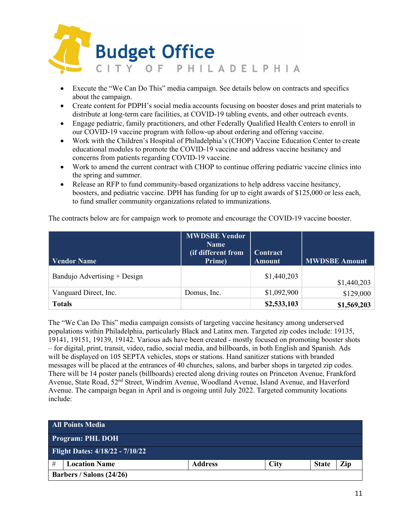

- Execute the "We Can Do This" media campaign. See details below on contracts and specifics about the campaign.
- Create content for PDPH's social media accounts focusing on booster doses and print materials to distribute at long-term care facilities, at COVID-19 tabling events, and other outreach events.
- Engage pediatric, family practitioners, and other Federally Qualified Health Centers to enroll in our COVID-19 vaccine program with follow-up about ordering and offering vaccine.
- Work with the Children's Hospital of Philadelphia's (CHOP) Vaccine Education Center to create educational modules to promote the COVID-19 vaccine and address vaccine hesitancy and concerns from patients regarding COVID-19 vaccine.
- Work to amend the current contract with CHOP to continue offering pediatric vaccine clinics into the spring and summer.
- Release an RFP to fund community-based organizations to help address vaccine hesitancy, boosters, and pediatric vaccine. DPH has funding for up to eight awards of \$125,000 or less each, to fund smaller community organizations related to immunizations.

The contracts below are for campaign work to promote and encourage the COVID-19 vaccine booster.

| <b>Vendor Name</b>           | <b>MWDSBE Vendor</b><br><b>Name</b><br>(if different from<br>Prime) | Contract<br><b>Amount</b> | <b>MWDSBE Amount</b> |
|------------------------------|---------------------------------------------------------------------|---------------------------|----------------------|
| Bandujo Advertising + Design |                                                                     | \$1,440,203               | \$1,440,203          |
| Vanguard Direct, Inc.        | Domus, Inc.                                                         | \$1,092,900               | \$129,000            |
| <b>Totals</b>                |                                                                     | \$2,533,103               | \$1,569,203          |

The "We Can Do This" media campaign consists of targeting vaccine hesitancy among underserved populations within Philadelphia, particularly Black and Latinx men. Targeted zip codes include: 19135, 19141, 19151, 19139, 19142. Various ads have been created - mostly focused on promoting booster shots – for digital, print, transit, video, radio, social media, and billboards, in both English and Spanish. Ads will be displayed on 105 SEPTA vehicles, stops or stations. Hand sanitizer stations with branded messages will be placed at the entrances of 40 churches, salons, and barber shops in targeted zip codes. There will be 14 poster panels (billboards) erected along driving routes on Princeton Avenue, Frankford Avenue, State Road, 52nd Street, Windrim Avenue, Woodland Avenue, Island Avenue, and Haverford Avenue. The campaign began in April and is ongoing until July 2022. Targeted community locations include:

|   | <b>All Points Media</b>                |                |             |              |     |
|---|----------------------------------------|----------------|-------------|--------------|-----|
|   | <b>Program: PHL DOH</b>                |                |             |              |     |
|   | <b>Flight Dates: 4/18/22 - 7/10/22</b> |                |             |              |     |
| # | <b>Location Name</b>                   | <b>Address</b> | <b>City</b> | <b>State</b> | Zip |
|   | Barbers / Salons (24/26)               |                |             |              |     |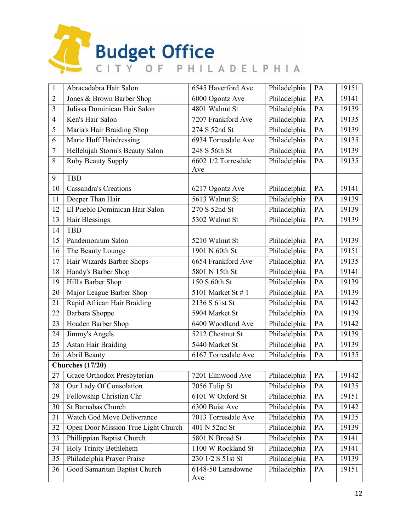

| $\mathbf{1}$     | Abracadabra Hair Salon                       | 6545 Haverford Ave             | Philadelphia | PA | 19151 |
|------------------|----------------------------------------------|--------------------------------|--------------|----|-------|
| $\overline{2}$   | Jones & Brown Barber Shop<br>6000 Ogontz Ave |                                | Philadelphia | PA | 19141 |
| $\overline{3}$   | Julissa Dominican Hair Salon                 | 4801 Walnut St                 |              | PA | 19139 |
| $\overline{4}$   | Ken's Hair Salon                             | 7207 Frankford Ave             |              | PA | 19135 |
| 5                | Maria's Hair Braiding Shop                   | 274 S 52nd St                  | Philadelphia | PA | 19139 |
| 6                | Marie Huff Hairdressing                      | 6934 Torresdale Ave            |              | PA | 19135 |
| $\boldsymbol{7}$ | Hellelujah Storm's Beauty Salon              | 248 S 56th St                  | Philadelphia | PA | 19139 |
| 8                | Ruby Beauty Supply                           | 6602 1/2 Torresdale            | Philadelphia | PA | 19135 |
|                  |                                              | Ave                            |              |    |       |
| 9                | <b>TBD</b>                                   |                                |              |    |       |
| 10               | <b>Cassandra's Creations</b>                 | 6217 Ogontz Ave                | Philadelphia | PA | 19141 |
| 11               | Deeper Than Hair                             | 5613 Walnut St<br>Philadelphia |              | PA | 19139 |
| 12               | El Pueblo Dominican Hair Salon               | 270 S 52nd St                  | Philadelphia | PA | 19139 |
| 13               | Hair Blessings                               | 5302 Walnut St                 | Philadelphia | PA | 19139 |
| 14               | <b>TBD</b>                                   |                                |              |    |       |
| 15               | Pandemonium Salon                            | 5210 Walnut St                 | Philadelphia | PA | 19139 |
| 16               | The Beauty Lounge                            | 1901 N 60th St                 | Philadelphia | PA | 19151 |
| 17               | Hair Wizards Barber Shops                    | 6654 Frankford Ave             | Philadelphia | PA | 19135 |
| 18               | Handy's Barber Shop                          | 5801 N 15th St                 | Philadelphia | PA | 19141 |
| 19               | Hill's Barber Shop                           | 150 S 60th St                  | Philadelphia | PA | 19139 |
| 20               | Major League Barber Shop                     | 5101 Market St # 1             | Philadelphia | PA | 19139 |
| 21               | Rapid African Hair Braiding                  | 2136 S 61st St                 | Philadelphia | PA | 19142 |
| 22               | Barbara Shoppe                               | 5904 Market St                 | Philadelphia | PA | 19139 |
| 23               | Hoaden Barber Shop                           | 6400 Woodland Ave              | Philadelphia | PA | 19142 |
| 24               | Jimmy's Angels                               | 5212 Chestnut St               | Philadelphia | PA | 19139 |
| 25               | <b>Astan Hair Braiding</b>                   | 5440 Market St                 | Philadelphia | PA | 19139 |
| 26               | <b>Abril Beauty</b>                          | 6167 Torresdale Ave            | Philadelphia | PA | 19135 |
|                  | <b>Churches</b> (17/20)                      |                                |              |    |       |
| 27               | Grace Orthodox Presbyterian                  | 7201 Elmwood Ave               | Philadelphia | PA | 19142 |
| 28               | Our Lady Of Consolation                      | 7056 Tulip St                  | Philadelphia | PA | 19135 |
| 29               | Fellowship Christian Chr                     | 6101 W Oxford St               | Philadelphia | PA | 19151 |
| 30               | St Barnabas Church                           | 6300 Buist Ave                 | Philadelphia | PA | 19142 |
| 31               | Watch God Move Deliverance                   | 7013 Torresdale Ave            | Philadelphia | PA | 19135 |
| 32               | Open Door Mission True Light Church          | 401 N 52nd St                  | Philadelphia | PA | 19139 |
| 33               | Phillippian Baptist Church                   | 5801 N Broad St                | Philadelphia | PA | 19141 |
| 34               | Holy Trinity Bethlehem                       | 1100 W Rockland St             | Philadelphia | PA | 19141 |
| 35               | Philadelphia Prayer Praise                   | 230 1/2 S 51st St              | Philadelphia | PA | 19139 |
| 36               | Good Samaritan Baptist Church                | 6148-50 Lansdowne<br>Ave       | Philadelphia | PA | 19151 |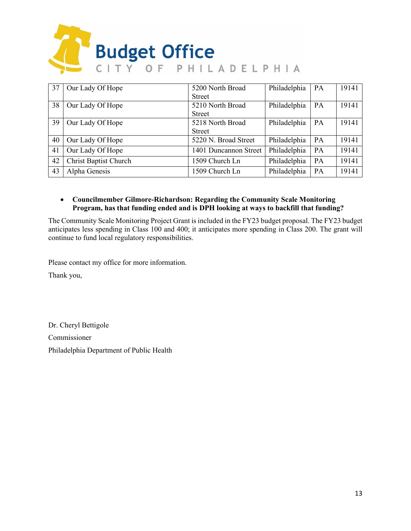

| 37 | Our Lady Of Hope             | 5200 North Broad      | Philadelphia | PA | 19141 |
|----|------------------------------|-----------------------|--------------|----|-------|
|    |                              | <b>Street</b>         |              |    |       |
| 38 | Our Lady Of Hope             | 5210 North Broad      | Philadelphia | PA | 19141 |
|    |                              | <b>Street</b>         |              |    |       |
| 39 | Our Lady Of Hope             | 5218 North Broad      | Philadelphia | PA | 19141 |
|    |                              | <b>Street</b>         |              |    |       |
| 40 | Our Lady Of Hope             | 5220 N. Broad Street  | Philadelphia | PA | 19141 |
| 41 | Our Lady Of Hope             | 1401 Duncannon Street | Philadelphia | PA | 19141 |
| 42 | <b>Christ Baptist Church</b> | 1509 Church Ln        | Philadelphia | PA | 19141 |
| 43 | Alpha Genesis                | 1509 Church Ln        | Philadelphia | PA | 19141 |

# • **Councilmember Gilmore-Richardson: Regarding the Community Scale Monitoring Program, has that funding ended and is DPH looking at ways to backfill that funding?**

The Community Scale Monitoring Project Grant is included in the FY23 budget proposal. The FY23 budget anticipates less spending in Class 100 and 400; it anticipates more spending in Class 200. The grant will continue to fund local regulatory responsibilities.

Please contact my office for more information.

Thank you,

Dr. Cheryl Bettigole Commissioner Philadelphia Department of Public Health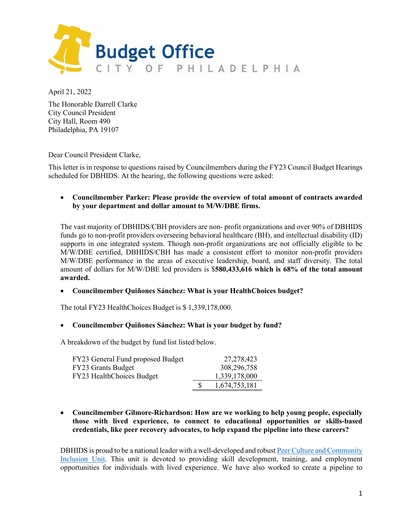

April 21, 2022

The Honorable Darrell Clarke City Council President City Hall, Room 490 Philadelphia, PA 19107

Dear Council President Clarke,

This letter is in response to questions raised by Councilmembers during the FY23 Council Budget Hearings scheduled for DBHIDS. At the hearing, the following questions were asked:

### • **Councilmember Parker: Please provide the overview of total amount of contracts awarded by your department and dollar amount to M/W/DBE firms.**

The vast majority of DBHIDS/CBH providers are non- profit organizations and over 90% of DBHIDS funds go to non-profit providers overseeing behavioral healthcare (BH), and intellectual disability (ID) supports in one integrated system. Though non-profit organizations are not officially eligible to be M/W/DBE certified, DBHIDS/CBH has made a consistent effort to monitor non-profit providers M/W/DBE performance in the areas of executive leadership, board, and staff diversity. The total amount of dollars for M/W/DBE led providers is \$**580,433,616 which is 68% of the total amount awarded.**

#### • **Councilmember Quiñones Sánchez: What is your HealthChoices budget?**

The total FY23 HealthChoices Budget is \$ 1,339,178,000.

#### • **Councilmember Quiñones Sánchez: What is your budget by fund?**

A breakdown of the budget by fund list listed below.

| FY23 General Fund proposed Budget | 27, 278, 423  |
|-----------------------------------|---------------|
| FY23 Grants Budget                | 308,296,758   |
| FY23 HealthChoices Budget         | 1,339,178,000 |
|                                   | 1,674,753,181 |

• **Councilmember Gilmore-Richardson: How are we working to help young people, especially those with lived experience, to connect to educational opportunities or skills-based credentials, like peer recovery advocates, to help expand the pipeline into these careers?**

DBHIDS is proud to be a national leader with a well-developed and robust [Peer Culture and Community](https://dbhids.org/PCCI-unit)  [Inclusion Unit.](https://dbhids.org/PCCI-unit) This unit is devoted to providing skill development, training, and employment opportunities for individuals with lived experience. We have also worked to create a pipeline to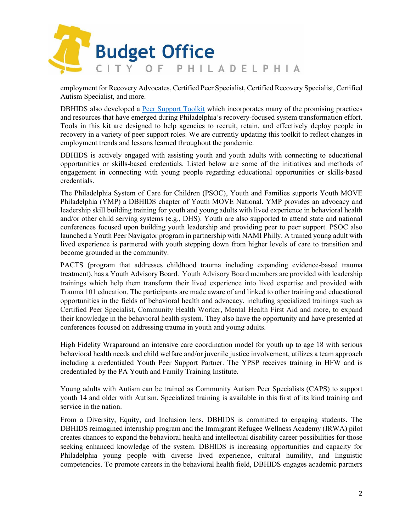

employment for Recovery Advocates, Certified Peer Specialist, Certified Recovery Specialist, Certified Autism Specialist, and more.

DBHIDS also developed a [Peer Support Toolkit](https://dbhids.org/wp-content/uploads/1970/01/PCCI_Peer-Support-Toolkit.pdf) which incorporates many of the promising practices and resources that have emerged during Philadelphia's recovery-focused system transformation effort. Tools in this kit are designed to help agencies to recruit, retain, and effectively deploy people in recovery in a variety of peer support roles. We are currently updating this toolkit to reflect changes in employment trends and lessons learned throughout the pandemic.

DBHIDS is actively engaged with assisting youth and youth adults with connecting to educational opportunities or skills-based credentials. Listed below are some of the initiatives and methods of engagement in connecting with young people regarding educational opportunities or skills-based credentials.

The Philadelphia System of Care for Children (PSOC), Youth and Families supports Youth MOVE Philadelphia (YMP) a DBHIDS chapter of Youth MOVE National. YMP provides an advocacy and leadership skill building training for youth and young adults with lived experience in behavioral health and/or other child serving systems (e.g., DHS). Youth are also supported to attend state and national conferences focused upon building youth leadership and providing peer to peer support. PSOC also launched a Youth Peer Navigator program in partnership with NAMI Philly. A trained young adult with lived experience is partnered with youth stepping down from higher levels of care to transition and become grounded in the community.

PACTS (program that addresses childhood trauma including expanding evidence-based trauma treatment), has a Youth Advisory Board. Youth Advisory Board members are provided with leadership trainings which help them transform their lived experience into lived expertise and provided with Trauma 101 education. The participants are made aware of and linked to other training and educational opportunities in the fields of behavioral health and advocacy, including specialized trainings such as Certified Peer Specialist, Community Health Worker, Mental Health First Aid and more, to expand their knowledge in the behavioral health system. They also have the opportunity and have presented at conferences focused on addressing trauma in youth and young adults.

High Fidelity Wraparound an intensive care coordination model for youth up to age 18 with serious behavioral health needs and child welfare and/or juvenile justice involvement, utilizes a team approach including a credentialed Youth Peer Support Partner. The YPSP receives training in HFW and is credentialed by the PA Youth and Family Training Institute.

Young adults with Autism can be trained as Community Autism Peer Specialists (CAPS) to support youth 14 and older with Autism. Specialized training is available in this first of its kind training and service in the nation.

From a Diversity, Equity, and Inclusion lens, DBHIDS is committed to engaging students. The DBHIDS reimagined internship program and the Immigrant Refugee Wellness Academy (IRWA) pilot creates chances to expand the behavioral health and intellectual disability career possibilities for those seeking enhanced knowledge of the system. DBHIDS is increasing opportunities and capacity for Philadelphia young people with diverse lived experience, cultural humility, and linguistic competencies. To promote careers in the behavioral health field, DBHIDS engages academic partners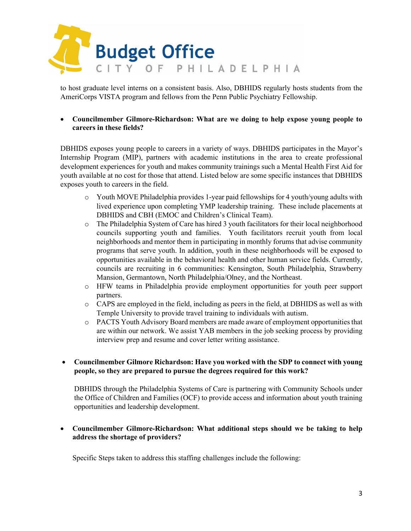

to host graduate level interns on a consistent basis. Also, DBHIDS regularly hosts students from the AmeriCorps VISTA program and fellows from the Penn Public Psychiatry Fellowship.

### • **Councilmember Gilmore-Richardson: What are we doing to help expose young people to careers in these fields?**

DBHIDS exposes young people to careers in a variety of ways. DBHIDS participates in the Mayor's Internship Program (MIP), partners with academic institutions in the area to create professional development experiences for youth and makes community trainings such a Mental Health First Aid for youth available at no cost for those that attend. Listed below are some specific instances that DBHIDS exposes youth to careers in the field.

- $\circ$  Youth MOVE Philadelphia provides 1-year paid fellowships for 4 youth/young adults with lived experience upon completing YMP leadership training. These include placements at DBHIDS and CBH (EMOC and Children's Clinical Team).
- o The Philadelphia System of Care has hired 3 youth facilitators for their local neighborhood councils supporting youth and families. Youth facilitators recruit youth from local neighborhoods and mentor them in participating in monthly forums that advise community programs that serve youth. In addition, youth in these neighborhoods will be exposed to opportunities available in the behavioral health and other human service fields. Currently, councils are recruiting in 6 communities: Kensington, South Philadelphia, Strawberry Mansion, Germantown, North Philadelphia/Olney, and the Northeast.
- o HFW teams in Philadelphia provide employment opportunities for youth peer support partners.
- o CAPS are employed in the field, including as peers in the field, at DBHIDS as well as with Temple University to provide travel training to individuals with autism.
- o PACTS Youth Advisory Board members are made aware of employment opportunities that are within our network. We assist YAB members in the job seeking process by providing interview prep and resume and cover letter writing assistance.

## • **Councilmember Gilmore Richardson: Have you worked with the SDP to connect with young people, so they are prepared to pursue the degrees required for this work?**

DBHIDS through the Philadelphia Systems of Care is partnering with Community Schools under the Office of Children and Families (OCF) to provide access and information about youth training opportunities and leadership development.

## • **Councilmember Gilmore-Richardson: What additional steps should we be taking to help address the shortage of providers?**

Specific Steps taken to address this staffing challenges include the following: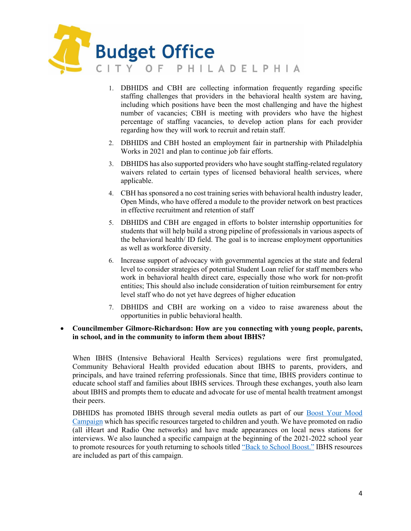

- 1. DBHIDS and CBH are collecting information frequently regarding specific staffing challenges that providers in the behavioral health system are having, including which positions have been the most challenging and have the highest number of vacancies; CBH is meeting with providers who have the highest percentage of staffing vacancies, to develop action plans for each provider regarding how they will work to recruit and retain staff.
- 2. DBHIDS and CBH hosted an employment fair in partnership with Philadelphia Works in 2021 and plan to continue job fair efforts.
- 3. DBHIDS has also supported providers who have sought staffing-related regulatory waivers related to certain types of licensed behavioral health services, where applicable.
- 4. CBH has sponsored a no cost training series with behavioral health industry leader, Open Minds, who have offered a module to the provider network on best practices in effective recruitment and retention of staff
- 5. DBHIDS and CBH are engaged in efforts to bolster internship opportunities for students that will help build a strong pipeline of professionals in various aspects of the behavioral health/ ID field. The goal is to increase employment opportunities as well as workforce diversity.
- 6. Increase support of advocacy with governmental agencies at the state and federal level to consider strategies of potential Student Loan relief for staff members who work in behavioral health direct care, especially those who work for non-profit entities; This should also include consideration of tuition reimbursement for entry level staff who do not yet have degrees of higher education
- 7. DBHIDS and CBH are working on a video to raise awareness about the opportunities in public behavioral health.

#### • **Councilmember Gilmore-Richardson: How are you connecting with young people, parents, in school, and in the community to inform them about IBHS?**

When IBHS (Intensive Behavioral Health Services) regulations were first promulgated, Community Behavioral Health provided education about IBHS to parents, providers, and principals, and have trained referring professionals. Since that time, IBHS providers continue to educate school staff and families about IBHS services. Through these exchanges, youth also learn about IBHS and prompts them to educate and advocate for use of mental health treatment amongst their peers.

DBHIDS has promoted IBHS through several media outlets as part of our Boost Your Mood [Campaign](https://healthymindsphilly.org/boost/) which has specific resources targeted to children and youth. We have promoted on radio (all iHeart and Radio One networks) and have made appearances on local news stations for interviews. We also launched a specific campaign at the beginning of the 2021-2022 school year to promote resources for youth returning to schools titled ["Back to School Boost."](https://healthymindsphilly.org/wp-content/uploads/2022/04/BTS-Toolkit.pdf) IBHS resources are included as part of this campaign.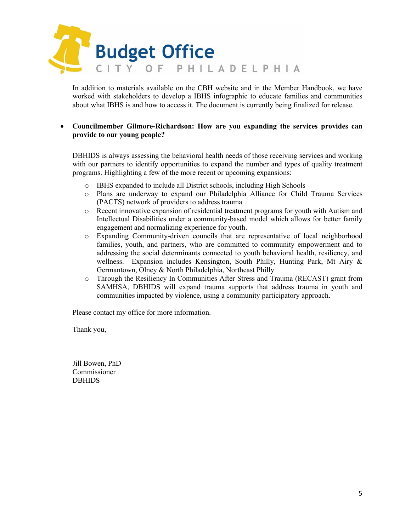

In addition to materials available on the CBH website and in the Member Handbook, we have worked with stakeholders to develop a IBHS infographic to educate families and communities about what IBHS is and how to access it. The document is currently being finalized for release.

### • **Councilmember Gilmore-Richardson: How are you expanding the services provides can provide to our young people?**

DBHIDS is always assessing the behavioral health needs of those receiving services and working with our partners to identify opportunities to expand the number and types of quality treatment programs. Highlighting a few of the more recent or upcoming expansions:

- o IBHS expanded to include all District schools, including High Schools
- o Plans are underway to expand our Philadelphia Alliance for Child Trauma Services (PACTS) network of providers to address trauma
- o Recent innovative expansion of residential treatment programs for youth with Autism and Intellectual Disabilities under a community-based model which allows for better family engagement and normalizing experience for youth.
- o Expanding Community-driven councils that are representative of local neighborhood families, youth, and partners, who are committed to community empowerment and to addressing the social determinants connected to youth behavioral health, resiliency, and wellness. Expansion includes Kensington, South Philly, Hunting Park, Mt Airy & Germantown, Olney & North Philadelphia, Northeast Philly
- o Through the Resiliency In Communities After Stress and Trauma (RECAST) grant from SAMHSA, DBHIDS will expand trauma supports that address trauma in youth and communities impacted by violence, using a community participatory approach.

Please contact my office for more information.

Thank you,

Jill Bowen, PhD Commissioner DBHIDS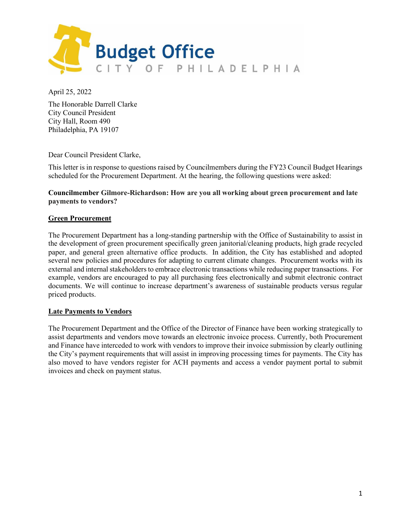

April 25, 2022

The Honorable Darrell Clarke City Council President City Hall, Room 490 Philadelphia, PA 19107

Dear Council President Clarke,

This letter is in response to questions raised by Councilmembers during the FY23 Council Budget Hearings scheduled for the Procurement Department. At the hearing, the following questions were asked:

#### **Councilmember Gilmore-Richardson: How are you all working about green procurement and late payments to vendors?**

#### **Green Procurement**

The Procurement Department has a long-standing partnership with the Office of Sustainability to assist in the development of green procurement specifically green janitorial/cleaning products, high grade recycled paper, and general green alternative office products. In addition, the City has established and adopted several new policies and procedures for adapting to current climate changes. Procurement works with its external and internal stakeholders to embrace electronic transactions while reducing paper transactions. For example, vendors are encouraged to pay all purchasing fees electronically and submit electronic contract documents. We will continue to increase department's awareness of sustainable products versus regular priced products.

#### **Late Payments to Vendors**

The Procurement Department and the Office of the Director of Finance have been working strategically to assist departments and vendors move towards an electronic invoice process. Currently, both Procurement and Finance have interceded to work with vendors to improve their invoice submission by clearly outlining the City's payment requirements that will assist in improving processing times for payments. The City has also moved to have vendors register for ACH payments and access a vendor payment portal to submit invoices and check on payment status.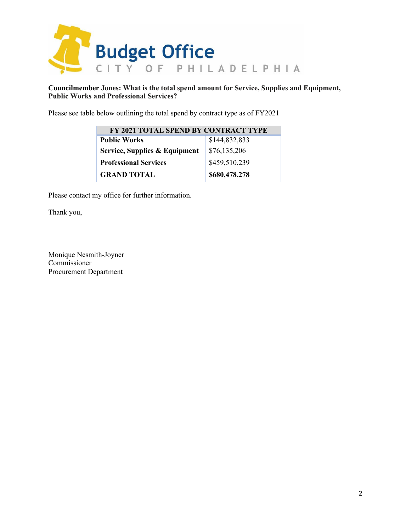

**Councilmember Jones: What is the total spend amount for Service, Supplies and Equipment, Public Works and Professional Services?**

Please see table below outlining the total spend by contract type as of FY2021

| FY 2021 TOTAL SPEND BY CONTRACT TYPE |               |  |  |  |
|--------------------------------------|---------------|--|--|--|
| <b>Public Works</b>                  | \$144,832,833 |  |  |  |
| Service, Supplies & Equipment        | \$76,135,206  |  |  |  |
| <b>Professional Services</b>         | \$459,510,239 |  |  |  |
| <b>GRAND TOTAL</b>                   | \$680,478,278 |  |  |  |

Please contact my office for further information.

Thank you,

Monique Nesmith-Joyner Commissioner Procurement Department